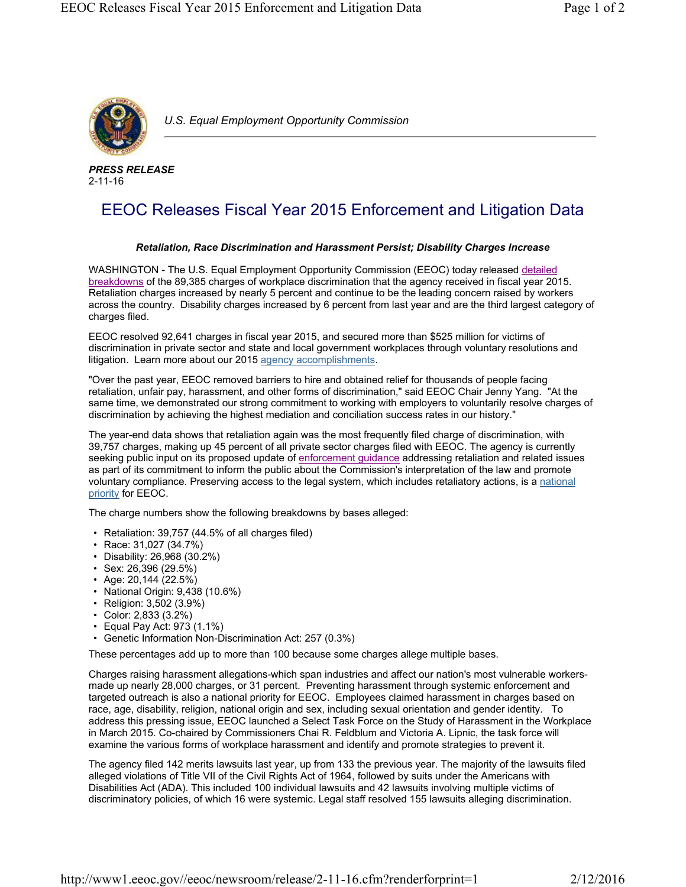

*U.S. Equal Employment Opportunity Commission*

*PRESS RELEASE* 2-11-16

## EEOC Releases Fiscal Year 2015 Enforcement and Litigation Data

## *Retaliation, Race Discrimination and Harassment Persist; Disability Charges Increase*

WASHINGTON - The U.S. Equal Employment Opportunity Commission (EEOC) today released detailed breakdowns of the 89,385 charges of workplace discrimination that the agency received in fiscal year 2015. Retaliation charges increased by nearly 5 percent and continue to be the leading concern raised by workers across the country. Disability charges increased by 6 percent from last year and are the third largest category of charges filed.

EEOC resolved 92,641 charges in fiscal year 2015, and secured more than \$525 million for victims of discrimination in private sector and state and local government workplaces through voluntary resolutions and litigation. Learn more about our 2015 agency accomplishments.

"Over the past year, EEOC removed barriers to hire and obtained relief for thousands of people facing retaliation, unfair pay, harassment, and other forms of discrimination," said EEOC Chair Jenny Yang. "At the same time, we demonstrated our strong commitment to working with employers to voluntarily resolve charges of discrimination by achieving the highest mediation and conciliation success rates in our history."

The year-end data shows that retaliation again was the most frequently filed charge of discrimination, with 39,757 charges, making up 45 percent of all private sector charges filed with EEOC. The agency is currently seeking public input on its proposed update of enforcement guidance addressing retaliation and related issues as part of its commitment to inform the public about the Commission's interpretation of the law and promote voluntary compliance. Preserving access to the legal system, which includes retaliatory actions, is a national priority for EEOC.

The charge numbers show the following breakdowns by bases alleged:

- Retaliation: 39,757 (44.5% of all charges filed)
- Race: 31,027 (34.7%)
- Disability: 26,968 (30.2%)
- Sex: 26,396 (29.5%)
- Age: 20,144 (22.5%)
- National Origin: 9,438 (10.6%)
- Religion: 3,502 (3.9%)
- Color: 2,833 (3.2%)
- Equal Pay Act: 973 (1.1%)
- Genetic Information Non-Discrimination Act: 257 (0.3%)

These percentages add up to more than 100 because some charges allege multiple bases.

Charges raising harassment allegations-which span industries and affect our nation's most vulnerable workersmade up nearly 28,000 charges, or 31 percent. Preventing harassment through systemic enforcement and targeted outreach is also a national priority for EEOC. Employees claimed harassment in charges based on race, age, disability, religion, national origin and sex, including sexual orientation and gender identity. To address this pressing issue, EEOC launched a Select Task Force on the Study of Harassment in the Workplace in March 2015. Co-chaired by Commissioners Chai R. Feldblum and Victoria A. Lipnic, the task force will examine the various forms of workplace harassment and identify and promote strategies to prevent it.

The agency filed 142 merits lawsuits last year, up from 133 the previous year. The majority of the lawsuits filed alleged violations of Title VII of the Civil Rights Act of 1964, followed by suits under the Americans with Disabilities Act (ADA). This included 100 individual lawsuits and 42 lawsuits involving multiple victims of discriminatory policies, of which 16 were systemic. Legal staff resolved 155 lawsuits alleging discrimination.